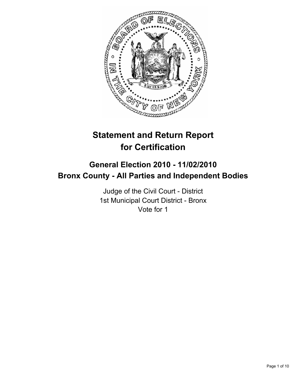

# **Statement and Return Report for Certification**

## **General Election 2010 - 11/02/2010 Bronx County - All Parties and Independent Bodies**

Judge of the Civil Court - District 1st Municipal Court District - Bronx Vote for 1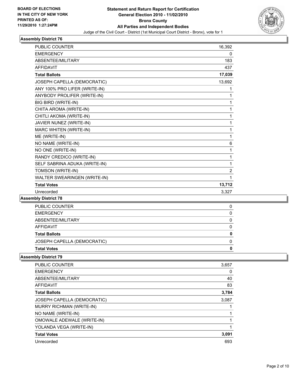

| <b>PUBLIC COUNTER</b>         | 16,392 |
|-------------------------------|--------|
| <b>EMERGENCY</b>              | 0      |
| <b>ABSENTEE/MILITARY</b>      | 183    |
| <b>AFFIDAVIT</b>              | 437    |
| <b>Total Ballots</b>          | 17,039 |
| JOSEPH CAPELLA (DEMOCRATIC)   | 13,692 |
| ANY 100% PRO LIFER (WRITE-IN) | 1      |
| ANYBODY PROLIFER (WRITE-IN)   | 1      |
| BIG BIRD (WRITE-IN)           | 1      |
| CHITA AROMA (WRITE-IN)        | 1      |
| CHITLI AKOMA (WRITE-IN)       | 1      |
| JAVIER NUNEZ (WRITE-IN)       | 1      |
| <b>MARC WHITEN (WRITE-IN)</b> | 1      |
| ME (WRITE-IN)                 | 1      |
| NO NAME (WRITE-IN)            | 6      |
| NO ONE (WRITE-IN)             | 1      |
| RANDY CREDICO (WRITE-IN)      | 1      |
| SELF SABRINA ADUKA (WRITE-IN) | 1      |
| TOMSON (WRITE-IN)             | 2      |
| WALTER SWEARINGEN (WRITE-IN)  | 1      |
| <b>Total Votes</b>            | 13,712 |
| Unrecorded                    | 3.327  |

#### **Assembly District 78**

| <b>Total Votes</b>          | O |
|-----------------------------|---|
| JOSEPH CAPELLA (DEMOCRATIC) |   |
| <b>Total Ballots</b>        | 0 |
| AFFIDAVIT                   | 0 |
| ABSENTEE/MILITARY           |   |
| <b>EMERGENCY</b>            |   |
| PUBLIC COUNTER              |   |

| <b>PUBLIC COUNTER</b>           | 3,657 |
|---------------------------------|-------|
| <b>EMERGENCY</b>                | 0     |
| ABSENTEE/MILITARY               | 40    |
| <b>AFFIDAVIT</b>                | 83    |
| <b>Total Ballots</b>            | 3,784 |
| JOSEPH CAPELLA (DEMOCRATIC)     | 3,087 |
| <b>MURRY RICHMAN (WRITE-IN)</b> |       |
| NO NAME (WRITE-IN)              |       |
| OMOWALE ADEWALE (WRITE-IN)      |       |
| YOLANDA VEGA (WRITE-IN)         |       |
| <b>Total Votes</b>              | 3,091 |
| Unrecorded                      | 693   |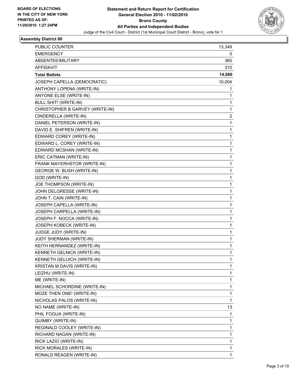

| PUBLIC COUNTER                   | 13,349 |
|----------------------------------|--------|
| <b>EMERGENCY</b>                 | 0      |
| ABSENTEE/MILITARY                | 360    |
| <b>AFFIDAVIT</b>                 | 310    |
| <b>Total Ballots</b>             | 14,080 |
| JOSEPH CAPELLA (DEMOCRATIC)      | 10,004 |
| ANTHONY LOPENA (WRITE-IN)        | 1      |
| ANYONE ELSE (WRITE-IN)           | 1      |
| <b>BULL SHIT! (WRITE-IN)</b>     | 1      |
| CHRISTOPHER B GARVEY (WRITE-IN)  | 1      |
| CINDERELLA (WRITE-IN)            | 2      |
| DANIEL PETERSON (WRITE-IN)       | 1      |
| DAVID E. SHIFREN (WRITE-IN)      | 1      |
| EDWARD COREY (WRITE-IN)          | 1      |
| EDWARD L. COREY (WRITE-IN)       | 1      |
| EDWARD MCSHAN (WRITE-IN)         | 1      |
| ERIC CATMAN (WRITE-IN)           | 1      |
| FRANK MAYERHSTOR (WRITE-IN)      | 1      |
| <b>GEORGE W. BUSH (WRITE-IN)</b> | 1      |
| GOD (WRITE-IN)                   | 1      |
| JOE THOMPSON (WRITE-IN)          | 1      |
| JOHN DELGRESSE (WRITE-IN)        | 1      |
| JOHN T. CAIN (WRITE-IN)          | 1      |
| JOSEPH CAPELLA (WRITE-IN)        | 1      |
| JOSEPH CARPELLA (WRITE-IN)       | 1      |
| JOSEPH F. NOCCA (WRITE-IN)       | 1      |
| JOSEPH KOBECK (WRITE-IN)         | 1      |
| JUDGE JUDY (WRITE-IN)            | 1      |
| JUDY SHERMAN (WRITE-IN)          | 1      |
| KEITH HERNANDEZ (WRITE-IN)       | 1      |
| KENNETH GELNICK (WRITE-IN)       | 1      |
| KENNETH GELUICH (WRITE-IN)       | 1      |
| KRISTAN M DAVIS (WRITE-IN)       | 1      |
| LEIZHU (WRITE-IN)                | 1      |
| ME (WRITE-IN)                    | 1      |
| MICHAEL SCHORDINE (WRITE-IN)     | 1      |
| MOZE THEN ONE! (WRITE-IN)        | 1      |
| NICHOLAS PALOS (WRITE-IN)        | 1      |
| NO NAME (WRITE-IN)               | 13     |
| PHIL FOGUA (WRITE-IN)            | 1      |
| QUIMBY (WRITE-IN)                | 1      |
| REGINALD COOLEY (WRITE-IN)       | 1      |
| RICHARD NAGAN (WRITE-IN)         | 1      |
| RICK LAZIO (WRITE-IN)            | 1      |
| RICK MORALES (WRITE-IN)          | 1      |
| RONALD REAGEN (WRITE-IN)         | 1      |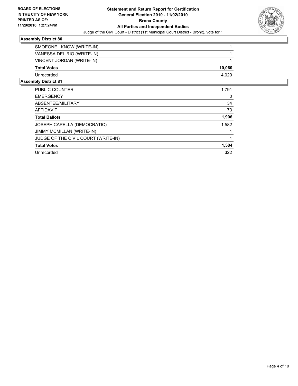

| SMOEONE I KNOW (WRITE-IN)  |        |
|----------------------------|--------|
| VANESSA DEL RIO (WRITE-IN) |        |
| VINCENT JORDAN (WRITE-IN)  |        |
| <b>Total Votes</b>         | 10,060 |
| Unrecorded                 | 4.020  |

| PUBLIC COUNTER                      | 1,791 |
|-------------------------------------|-------|
| <b>EMERGENCY</b>                    | 0     |
| ABSENTEE/MILITARY                   | 34    |
| <b>AFFIDAVIT</b>                    | 73    |
| <b>Total Ballots</b>                | 1,906 |
| JOSEPH CAPELLA (DEMOCRATIC)         | 1,582 |
| JIMMY MCMILLAN (WRITE-IN)           |       |
| JUDGE OF THE CIVIL COURT (WRITE-IN) |       |
| <b>Total Votes</b>                  | 1,584 |
| Unrecorded                          | 322   |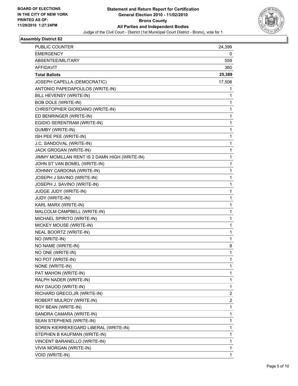

| <b>PUBLIC COUNTER</b>                         | 24,399 |
|-----------------------------------------------|--------|
| EMERGENCY                                     | 0      |
| <b>ABSENTEE/MILITARY</b>                      | 559    |
| <b>AFFIDAVIT</b>                              | 360    |
| <b>Total Ballots</b>                          | 25,389 |
| JOSEPH CAPELLA (DEMOCRATIC)                   | 17,508 |
| ANTONIO PAPEDAPOULOS (WRITE-IN)               | 1      |
| BILL HEVENSY (WRITE-IN)                       | 1      |
| <b>BOB DOLE (WRITE-IN)</b>                    | 1      |
| CHRISTOPHER GIORDANO (WRITE-IN)               | 1      |
| ED BENRINGER (WRITE-IN)                       | 1      |
| EGIDIO SERENTRAM (WRITE-IN)                   | 1      |
| <b>GUMBY (WRITE-IN)</b>                       | 1      |
| ISH PEE PEE (WRITE-IN)                        | 1      |
| J.C. SANDOVAL (WRITE-IN)                      | 1      |
| JACK GROGAN (WRITE-IN)                        | 1      |
| JIMMY MCMILLAN RENT IS 2 DAMN HIGH (WRITE-IN) | 1      |
| JOHN ST VAN BOMEL (WRITE-IN)                  | 1      |
| JOHNNY CARDONA (WRITE-IN)                     | 1      |
| JOSEPH J SAVINO (WRITE-IN)                    | 1      |
| JOSEPH J. SAVINO (WRITE-IN)                   | 1      |
| JUDGE JUDY (WRITE-IN)                         | 1      |
| JUDY (WRITE-IN)                               | 1      |
| KARL MARX (WRITE-IN)                          | 1      |
| MALCOLM CAMPBELL (WRITE-IN)                   | 1      |
| MICHAEL SPIRITO (WRITE-IN)                    | 1      |
| MICKEY MOUSE (WRITE-IN)                       | 1      |
| NEAL BOORTZ (WRITE-IN)                        | 1      |
| NO (WRITE-IN)                                 | 1      |
| NO NAME (WRITE-IN)                            | 8      |
| NO ONE (WRITE-IN)                             | 1      |
| NO POT (WRITE-IN)                             | 1      |
| NONE (WRITE-IN)                               | 1      |
| PAT MAHON (WRITE-IN)                          | 1      |
| RALPH NADER (WRITE-IN)                        | 1      |
| RAY DAUOD (WRITE-IN)                          | 1      |
| RICHARD GRECO, JR (WRITE-IN)                  | 2      |
| ROBERT MULROY (WRITE-IN)                      | 2      |
| ROY BEAN (WRITE-IN)                           | 1      |
| SANDRA CAMARA (WRITE-IN)                      | 1      |
| SEAN STEPHENS (WRITE-IN)                      | 1      |
| SOREN KIERREKEGARD LIBERAL (WRITE-IN)         | 1      |
| STEPHEN B KAUFMAN (WRITE-IN)                  | 1      |
| VINCENT BARANELLO (WRITE-IN)                  | 1      |
| VIVIA MORGAN (WRITE-IN)                       | 1      |
| VOID (WRITE-IN)                               | 1      |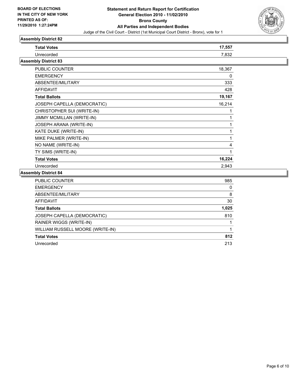

### As:

| <b>Assembly District 82</b> |        |  |
|-----------------------------|--------|--|
| <b>Total Votes</b>          | 17,557 |  |
| Unrecorded                  | 7,832  |  |
| <b>Assembly District 83</b> |        |  |
| <b>PUBLIC COUNTER</b>       | 18,367 |  |
| <b>EMERGENCY</b>            | 0      |  |
| ABSENTEE/MILITARY           | 333    |  |
| <b>AFFIDAVIT</b>            | 428    |  |
| <b>Total Ballots</b>        | 19,167 |  |
| JOSEPH CAPELLA (DEMOCRATIC) | 16,214 |  |
| CHRISTOPHER SUI (WRITE-IN)  | 1      |  |
| JIMMY MCMILLAN (WRITE-IN)   | 1      |  |
| JOSEPH ARANA (WRITE-IN)     | 1      |  |
| KATE DUKE (WRITE-IN)        | 1      |  |
| MIKE PALMER (WRITE-IN)      | 1      |  |
| NO NAME (WRITE-IN)          | 4      |  |
| TY SIMS (WRITE-IN)          | 1      |  |
| <b>Total Votes</b>          | 16,224 |  |

Unrecorded 2,943

| <b>PUBLIC COUNTER</b>            | 985   |
|----------------------------------|-------|
| <b>EMERGENCY</b>                 | 0     |
| ABSENTEE/MILITARY                | 8     |
| AFFIDAVIT                        | 30    |
| <b>Total Ballots</b>             | 1,025 |
| JOSEPH CAPELLA (DEMOCRATIC)      | 810   |
| RAINER WIGGS (WRITE-IN)          |       |
| WILLIAM RUSSELL MOORE (WRITE-IN) |       |
| <b>Total Votes</b>               | 812   |
| Unrecorded                       | 213   |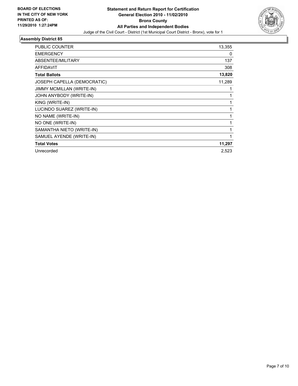

| <b>PUBLIC COUNTER</b>       | 13,355       |
|-----------------------------|--------------|
|                             |              |
| <b>EMERGENCY</b>            | 0            |
| ABSENTEE/MILITARY           | 137          |
| <b>AFFIDAVIT</b>            | 308          |
| <b>Total Ballots</b>        | 13,820       |
| JOSEPH CAPELLA (DEMOCRATIC) | 11,289       |
| JIMMY MCMILLAN (WRITE-IN)   |              |
| JOHN ANYBODY (WRITE-IN)     | 1            |
| KING (WRITE-IN)             | 1            |
| LUCINDO SUAREZ (WRITE-IN)   | 1            |
| NO NAME (WRITE-IN)          | 1            |
| NO ONE (WRITE-IN)           | 1            |
| SAMANTHA NIETO (WRITE-IN)   | $\mathbf{1}$ |
| SAMUEL AYENDE (WRITE-IN)    | 1            |
| <b>Total Votes</b>          | 11,297       |
| Unrecorded                  | 2,523        |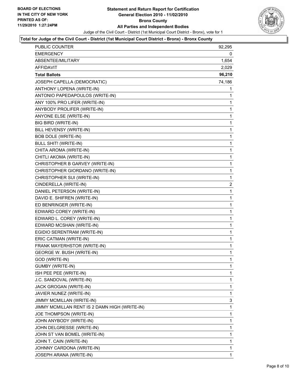

#### **Total for Judge of the Civil Court - District (1st Municipal Court District - Bronx) - Bronx County**

| PUBLIC COUNTER                                | 92,295       |
|-----------------------------------------------|--------------|
| <b>EMERGENCY</b>                              | 0            |
| ABSENTEE/MILITARY                             | 1,654        |
| AFFIDAVIT                                     | 2,029        |
| <b>Total Ballots</b>                          | 96,210       |
| JOSEPH CAPELLA (DEMOCRATIC)                   | 74,186       |
| ANTHONY LOPENA (WRITE-IN)                     | 1            |
| ANTONIO PAPEDAPOULOS (WRITE-IN)               | 1            |
| ANY 100% PRO LIFER (WRITE-IN)                 | 1            |
| ANYBODY PROLIFER (WRITE-IN)                   | 1            |
| ANYONE ELSE (WRITE-IN)                        | 1            |
| BIG BIRD (WRITE-IN)                           | 1            |
| BILL HEVENSY (WRITE-IN)                       | 1            |
| <b>BOB DOLE (WRITE-IN)</b>                    | 1            |
| <b>BULL SHIT! (WRITE-IN)</b>                  | 1            |
| CHITA AROMA (WRITE-IN)                        | $\mathbf 1$  |
| CHITLI AKOMA (WRITE-IN)                       | 1            |
| CHRISTOPHER B GARVEY (WRITE-IN)               | 1            |
| CHRISTOPHER GIORDANO (WRITE-IN)               | 1            |
| CHRISTOPHER SUI (WRITE-IN)                    | 1            |
| CINDERELLA (WRITE-IN)                         | 2            |
| DANIEL PETERSON (WRITE-IN)                    | $\mathbf 1$  |
| DAVID E. SHIFREN (WRITE-IN)                   | 1            |
| ED BENRINGER (WRITE-IN)                       | 1            |
| EDWARD COREY (WRITE-IN)                       | 1            |
| EDWARD L. COREY (WRITE-IN)                    | 1            |
| EDWARD MCSHAN (WRITE-IN)                      | 1            |
| EGIDIO SERENTRAM (WRITE-IN)                   | $\mathbf 1$  |
| ERIC CATMAN (WRITE-IN)                        | 1            |
| FRANK MAYERHSTOR (WRITE-IN)                   | 1            |
| <b>GEORGE W. BUSH (WRITE-IN)</b>              | 1            |
| <b>GOD (WRITE-IN)</b>                         | 1            |
| <b>GUMBY (WRITE-IN)</b>                       | 1            |
| ISH PEE PEE (WRITE-IN)                        | 1            |
| J.C. SANDOVAL (WRITE-IN)                      | 1            |
| JACK GROGAN (WRITE-IN)                        | 1            |
| JAVIER NUNEZ (WRITE-IN)                       | 1            |
| JIMMY MCMILLAN (WRITE-IN)                     | 3            |
| JIMMY MCMILLAN RENT IS 2 DAMN HIGH (WRITE-IN) | 1            |
| JOE THOMPSON (WRITE-IN)                       | 1            |
| JOHN ANYBODY (WRITE-IN)                       | 1            |
| JOHN DELGRESSE (WRITE-IN)                     | 1            |
| JOHN ST VAN BOMEL (WRITE-IN)                  | 1            |
| JOHN T. CAIN (WRITE-IN)                       | 1            |
| JOHNNY CARDONA (WRITE-IN)                     | 1            |
| JOSEPH ARANA (WRITE-IN)                       | $\mathbf{1}$ |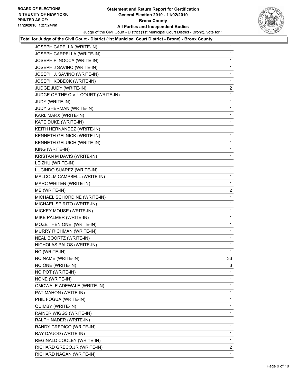

#### **Total for Judge of the Civil Court - District (1st Municipal Court District - Bronx) - Bronx County**

| JOSEPH CARPELLA (WRITE-IN)<br>JOSEPH F. NOCCA (WRITE-IN)<br>JOSEPH J SAVINO (WRITE-IN)<br>JOSEPH J. SAVINO (WRITE-IN)<br>JOSEPH KOBECK (WRITE-IN)<br>JUDGE JUDY (WRITE-IN)<br>JUDGE OF THE CIVIL COURT (WRITE-IN)<br>JUDY (WRITE-IN)<br>JUDY SHERMAN (WRITE-IN)<br>KARL MARX (WRITE-IN)<br>KATE DUKE (WRITE-IN)<br>KEITH HERNANDEZ (WRITE-IN)<br>KENNETH GELNICK (WRITE-IN)<br>KENNETH GELUICH (WRITE-IN)<br>KING (WRITE-IN)<br>KRISTAN M DAVIS (WRITE-IN)<br>LEIZHU (WRITE-IN)<br>LUCINDO SUAREZ (WRITE-IN)<br>MALCOLM CAMPBELL (WRITE-IN)<br>MARC WHITEN (WRITE-IN)<br>ME (WRITE-IN)<br>MICHAEL SCHORDINE (WRITE-IN)<br>MICHAEL SPIRITO (WRITE-IN)<br>MICKEY MOUSE (WRITE-IN)<br>MIKE PALMER (WRITE-IN)<br>MOZE THEN ONE! (WRITE-IN)<br>MURRY RICHMAN (WRITE-IN)<br>NEAL BOORTZ (WRITE-IN)<br>NICHOLAS PALOS (WRITE-IN)<br>NO (WRITE-IN)<br>NO NAME (WRITE-IN)<br>NO ONE (WRITE-IN)<br>NO POT (WRITE-IN)<br>NONE (WRITE-IN)<br>OMOWALE ADEWALE (WRITE-IN)<br>PAT MAHON (WRITE-IN)<br>PHIL FOGUA (WRITE-IN)<br>QUIMBY (WRITE-IN)<br>RAINER WIGGS (WRITE-IN)<br>RALPH NADER (WRITE-IN)<br>RANDY CREDICO (WRITE-IN)<br>RAY DAUOD (WRITE-IN)<br>REGINALD COOLEY (WRITE-IN)<br>RICHARD GRECO, JR (WRITE-IN)<br>RICHARD NAGAN (WRITE-IN) | JOSEPH CAPELLA (WRITE-IN) | 1              |
|--------------------------------------------------------------------------------------------------------------------------------------------------------------------------------------------------------------------------------------------------------------------------------------------------------------------------------------------------------------------------------------------------------------------------------------------------------------------------------------------------------------------------------------------------------------------------------------------------------------------------------------------------------------------------------------------------------------------------------------------------------------------------------------------------------------------------------------------------------------------------------------------------------------------------------------------------------------------------------------------------------------------------------------------------------------------------------------------------------------------------------------------------------------------------------------------------------------------------------------|---------------------------|----------------|
|                                                                                                                                                                                                                                                                                                                                                                                                                                                                                                                                                                                                                                                                                                                                                                                                                                                                                                                                                                                                                                                                                                                                                                                                                                      |                           | 1              |
|                                                                                                                                                                                                                                                                                                                                                                                                                                                                                                                                                                                                                                                                                                                                                                                                                                                                                                                                                                                                                                                                                                                                                                                                                                      |                           | 1              |
|                                                                                                                                                                                                                                                                                                                                                                                                                                                                                                                                                                                                                                                                                                                                                                                                                                                                                                                                                                                                                                                                                                                                                                                                                                      |                           | 1              |
|                                                                                                                                                                                                                                                                                                                                                                                                                                                                                                                                                                                                                                                                                                                                                                                                                                                                                                                                                                                                                                                                                                                                                                                                                                      |                           | 1              |
|                                                                                                                                                                                                                                                                                                                                                                                                                                                                                                                                                                                                                                                                                                                                                                                                                                                                                                                                                                                                                                                                                                                                                                                                                                      |                           | 1              |
|                                                                                                                                                                                                                                                                                                                                                                                                                                                                                                                                                                                                                                                                                                                                                                                                                                                                                                                                                                                                                                                                                                                                                                                                                                      |                           | 2              |
|                                                                                                                                                                                                                                                                                                                                                                                                                                                                                                                                                                                                                                                                                                                                                                                                                                                                                                                                                                                                                                                                                                                                                                                                                                      |                           | 1              |
|                                                                                                                                                                                                                                                                                                                                                                                                                                                                                                                                                                                                                                                                                                                                                                                                                                                                                                                                                                                                                                                                                                                                                                                                                                      |                           | 1              |
|                                                                                                                                                                                                                                                                                                                                                                                                                                                                                                                                                                                                                                                                                                                                                                                                                                                                                                                                                                                                                                                                                                                                                                                                                                      |                           | 1              |
|                                                                                                                                                                                                                                                                                                                                                                                                                                                                                                                                                                                                                                                                                                                                                                                                                                                                                                                                                                                                                                                                                                                                                                                                                                      |                           | 1              |
|                                                                                                                                                                                                                                                                                                                                                                                                                                                                                                                                                                                                                                                                                                                                                                                                                                                                                                                                                                                                                                                                                                                                                                                                                                      |                           | 1              |
|                                                                                                                                                                                                                                                                                                                                                                                                                                                                                                                                                                                                                                                                                                                                                                                                                                                                                                                                                                                                                                                                                                                                                                                                                                      |                           | 1              |
|                                                                                                                                                                                                                                                                                                                                                                                                                                                                                                                                                                                                                                                                                                                                                                                                                                                                                                                                                                                                                                                                                                                                                                                                                                      |                           | 1              |
|                                                                                                                                                                                                                                                                                                                                                                                                                                                                                                                                                                                                                                                                                                                                                                                                                                                                                                                                                                                                                                                                                                                                                                                                                                      |                           | 1              |
|                                                                                                                                                                                                                                                                                                                                                                                                                                                                                                                                                                                                                                                                                                                                                                                                                                                                                                                                                                                                                                                                                                                                                                                                                                      |                           | 1              |
|                                                                                                                                                                                                                                                                                                                                                                                                                                                                                                                                                                                                                                                                                                                                                                                                                                                                                                                                                                                                                                                                                                                                                                                                                                      |                           | 1              |
|                                                                                                                                                                                                                                                                                                                                                                                                                                                                                                                                                                                                                                                                                                                                                                                                                                                                                                                                                                                                                                                                                                                                                                                                                                      |                           | 1              |
|                                                                                                                                                                                                                                                                                                                                                                                                                                                                                                                                                                                                                                                                                                                                                                                                                                                                                                                                                                                                                                                                                                                                                                                                                                      |                           | 1              |
|                                                                                                                                                                                                                                                                                                                                                                                                                                                                                                                                                                                                                                                                                                                                                                                                                                                                                                                                                                                                                                                                                                                                                                                                                                      |                           | 1              |
|                                                                                                                                                                                                                                                                                                                                                                                                                                                                                                                                                                                                                                                                                                                                                                                                                                                                                                                                                                                                                                                                                                                                                                                                                                      |                           | 1              |
|                                                                                                                                                                                                                                                                                                                                                                                                                                                                                                                                                                                                                                                                                                                                                                                                                                                                                                                                                                                                                                                                                                                                                                                                                                      |                           | $\overline{2}$ |
|                                                                                                                                                                                                                                                                                                                                                                                                                                                                                                                                                                                                                                                                                                                                                                                                                                                                                                                                                                                                                                                                                                                                                                                                                                      |                           | 1              |
|                                                                                                                                                                                                                                                                                                                                                                                                                                                                                                                                                                                                                                                                                                                                                                                                                                                                                                                                                                                                                                                                                                                                                                                                                                      |                           | 1              |
|                                                                                                                                                                                                                                                                                                                                                                                                                                                                                                                                                                                                                                                                                                                                                                                                                                                                                                                                                                                                                                                                                                                                                                                                                                      |                           | 1              |
|                                                                                                                                                                                                                                                                                                                                                                                                                                                                                                                                                                                                                                                                                                                                                                                                                                                                                                                                                                                                                                                                                                                                                                                                                                      |                           | 1              |
|                                                                                                                                                                                                                                                                                                                                                                                                                                                                                                                                                                                                                                                                                                                                                                                                                                                                                                                                                                                                                                                                                                                                                                                                                                      |                           | 1              |
|                                                                                                                                                                                                                                                                                                                                                                                                                                                                                                                                                                                                                                                                                                                                                                                                                                                                                                                                                                                                                                                                                                                                                                                                                                      |                           | 1              |
|                                                                                                                                                                                                                                                                                                                                                                                                                                                                                                                                                                                                                                                                                                                                                                                                                                                                                                                                                                                                                                                                                                                                                                                                                                      |                           | 1              |
|                                                                                                                                                                                                                                                                                                                                                                                                                                                                                                                                                                                                                                                                                                                                                                                                                                                                                                                                                                                                                                                                                                                                                                                                                                      |                           | 1              |
|                                                                                                                                                                                                                                                                                                                                                                                                                                                                                                                                                                                                                                                                                                                                                                                                                                                                                                                                                                                                                                                                                                                                                                                                                                      |                           | 1              |
|                                                                                                                                                                                                                                                                                                                                                                                                                                                                                                                                                                                                                                                                                                                                                                                                                                                                                                                                                                                                                                                                                                                                                                                                                                      |                           | 33             |
|                                                                                                                                                                                                                                                                                                                                                                                                                                                                                                                                                                                                                                                                                                                                                                                                                                                                                                                                                                                                                                                                                                                                                                                                                                      |                           | 3              |
|                                                                                                                                                                                                                                                                                                                                                                                                                                                                                                                                                                                                                                                                                                                                                                                                                                                                                                                                                                                                                                                                                                                                                                                                                                      |                           | 1              |
|                                                                                                                                                                                                                                                                                                                                                                                                                                                                                                                                                                                                                                                                                                                                                                                                                                                                                                                                                                                                                                                                                                                                                                                                                                      |                           | 1              |
|                                                                                                                                                                                                                                                                                                                                                                                                                                                                                                                                                                                                                                                                                                                                                                                                                                                                                                                                                                                                                                                                                                                                                                                                                                      |                           | 1              |
|                                                                                                                                                                                                                                                                                                                                                                                                                                                                                                                                                                                                                                                                                                                                                                                                                                                                                                                                                                                                                                                                                                                                                                                                                                      |                           | 1              |
|                                                                                                                                                                                                                                                                                                                                                                                                                                                                                                                                                                                                                                                                                                                                                                                                                                                                                                                                                                                                                                                                                                                                                                                                                                      |                           | 1              |
|                                                                                                                                                                                                                                                                                                                                                                                                                                                                                                                                                                                                                                                                                                                                                                                                                                                                                                                                                                                                                                                                                                                                                                                                                                      |                           | 1              |
|                                                                                                                                                                                                                                                                                                                                                                                                                                                                                                                                                                                                                                                                                                                                                                                                                                                                                                                                                                                                                                                                                                                                                                                                                                      |                           | 1              |
|                                                                                                                                                                                                                                                                                                                                                                                                                                                                                                                                                                                                                                                                                                                                                                                                                                                                                                                                                                                                                                                                                                                                                                                                                                      |                           | 1              |
|                                                                                                                                                                                                                                                                                                                                                                                                                                                                                                                                                                                                                                                                                                                                                                                                                                                                                                                                                                                                                                                                                                                                                                                                                                      |                           | 1              |
|                                                                                                                                                                                                                                                                                                                                                                                                                                                                                                                                                                                                                                                                                                                                                                                                                                                                                                                                                                                                                                                                                                                                                                                                                                      |                           | 1              |
|                                                                                                                                                                                                                                                                                                                                                                                                                                                                                                                                                                                                                                                                                                                                                                                                                                                                                                                                                                                                                                                                                                                                                                                                                                      |                           | 1              |
|                                                                                                                                                                                                                                                                                                                                                                                                                                                                                                                                                                                                                                                                                                                                                                                                                                                                                                                                                                                                                                                                                                                                                                                                                                      |                           | $\overline{2}$ |
|                                                                                                                                                                                                                                                                                                                                                                                                                                                                                                                                                                                                                                                                                                                                                                                                                                                                                                                                                                                                                                                                                                                                                                                                                                      |                           | 1              |